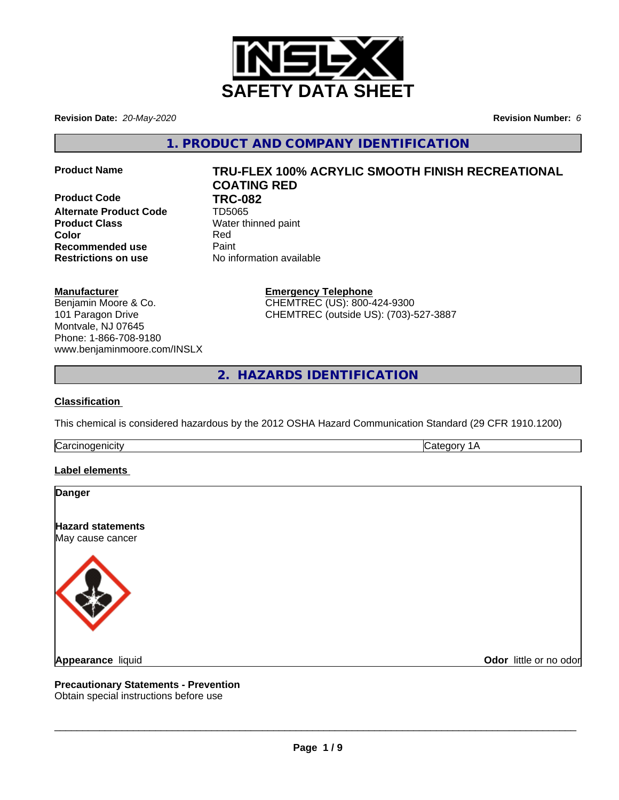

**Revision Date:** *20-May-2020* **Revision Number:** *6*

**1. PRODUCT AND COMPANY IDENTIFICATION**

**Product Code 61 TRC-082**<br>Alternate Product Code 61 TD5065 **Alternate Product Code Product Class** Water thinned paint **Color** Red **Recommended use** Paint **Restrictions on use** No information available

# **Product Name TRU-FLEX 100% ACRYLIC SMOOTH FINISH RECREATIONAL COATING RED**

#### **Manufacturer**

Benjamin Moore & Co. 101 Paragon Drive Montvale, NJ 07645 Phone: 1-866-708-9180 www.benjaminmoore.com/INSLX **Emergency Telephone** CHEMTREC (US): 800-424-9300 CHEMTREC (outside US): (703)-527-3887

**2. HAZARDS IDENTIFICATION**

#### **Classification**

This chemical is considered hazardous by the 2012 OSHA Hazard Communication Standard (29 CFR 1910.1200)

Carcinogenicity **Category 1A** 

#### **Label elements**

| <b>Danger</b>                                |                        |
|----------------------------------------------|------------------------|
| <b>Hazard statements</b><br>May cause cancer |                        |
|                                              |                        |
| Appearance liquid                            | Odor little or no odor |

# **Precautionary Statements - Prevention**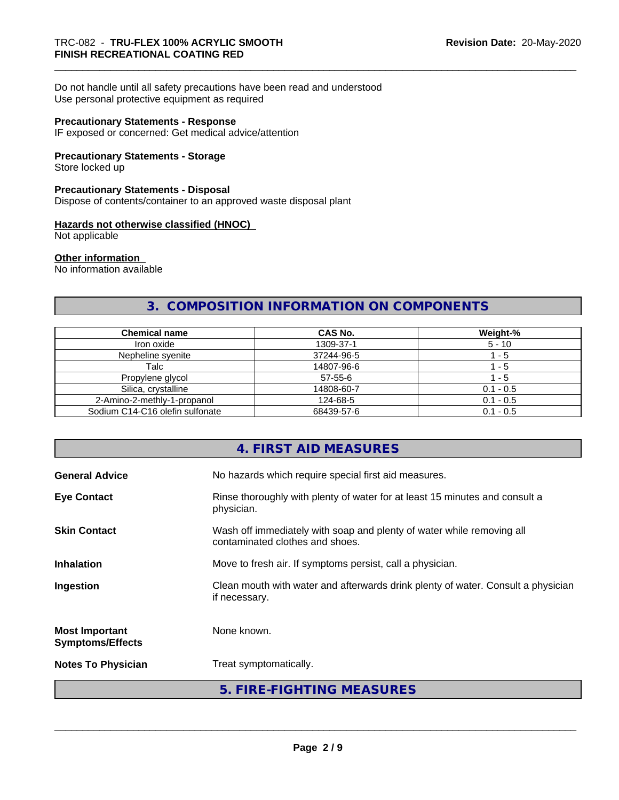Do not handle until all safety precautions have been read and understood Use personal protective equipment as required

#### **Precautionary Statements - Response**

IF exposed or concerned: Get medical advice/attention

#### **Precautionary Statements - Storage**

Store locked up

#### **Precautionary Statements - Disposal**

Dispose of contents/container to an approved waste disposal plant

#### **Hazards not otherwise classified (HNOC)**

Not applicable

#### **Other information**

No information available

# **3. COMPOSITION INFORMATION ON COMPONENTS**

| <b>Chemical name</b>            | <b>CAS No.</b> | Weight-%    |
|---------------------------------|----------------|-------------|
| Iron oxide                      | 1309-37-1      | $5 - 10$    |
| Nepheline syenite               | 37244-96-5     | - 5         |
| Talc                            | 14807-96-6     | - 5         |
| Propylene glycol                | 57-55-6        | - 5         |
| Silica, crystalline             | 14808-60-7     | $0.1 - 0.5$ |
| 2-Amino-2-methly-1-propanol     | 124-68-5       | $0.1 - 0.5$ |
| Sodium C14-C16 olefin sulfonate | 68439-57-6     | $0.1 - 0.5$ |

#### **4. FIRST AID MEASURES**

| <b>General Advice</b>                            | No hazards which require special first aid measures.                                                     |  |
|--------------------------------------------------|----------------------------------------------------------------------------------------------------------|--|
| <b>Eye Contact</b>                               | Rinse thoroughly with plenty of water for at least 15 minutes and consult a<br>physician.                |  |
| <b>Skin Contact</b>                              | Wash off immediately with soap and plenty of water while removing all<br>contaminated clothes and shoes. |  |
| <b>Inhalation</b>                                | Move to fresh air. If symptoms persist, call a physician.                                                |  |
| Ingestion                                        | Clean mouth with water and afterwards drink plenty of water. Consult a physician<br>if necessary.        |  |
| <b>Most Important</b><br><b>Symptoms/Effects</b> | None known.                                                                                              |  |
| <b>Notes To Physician</b>                        | Treat symptomatically.                                                                                   |  |
|                                                  | 5. FIRE-FIGHTING MEASURES                                                                                |  |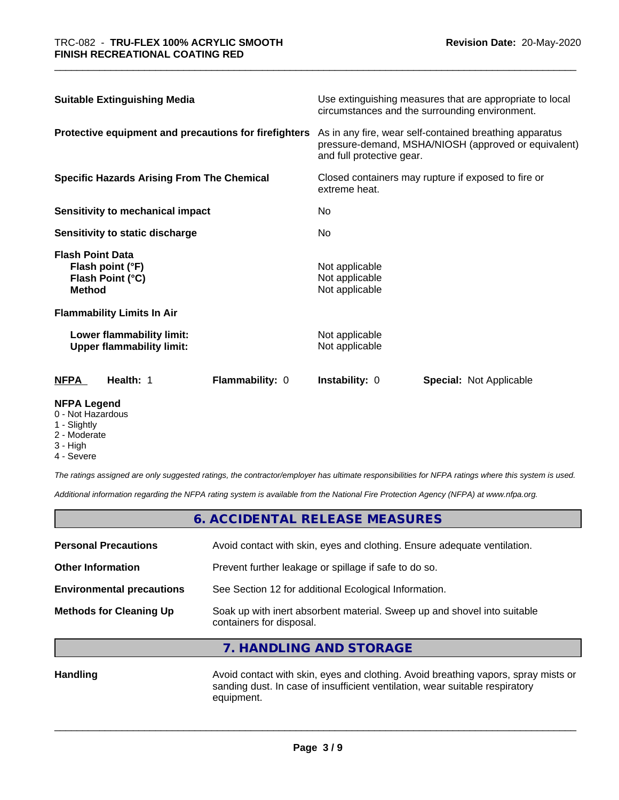| <b>Suitable Extinguishing Media</b>                                                                                             |                                                               | Use extinguishing measures that are appropriate to local<br>circumstances and the surrounding environment. |                                                     |                                                                                                                 |
|---------------------------------------------------------------------------------------------------------------------------------|---------------------------------------------------------------|------------------------------------------------------------------------------------------------------------|-----------------------------------------------------|-----------------------------------------------------------------------------------------------------------------|
|                                                                                                                                 |                                                               | Protective equipment and precautions for firefighters                                                      | and full protective gear.                           | As in any fire, wear self-contained breathing apparatus<br>pressure-demand, MSHA/NIOSH (approved or equivalent) |
| <b>Specific Hazards Arising From The Chemical</b><br><b>Sensitivity to mechanical impact</b><br>Sensitivity to static discharge |                                                               | extreme heat.                                                                                              | Closed containers may rupture if exposed to fire or |                                                                                                                 |
|                                                                                                                                 |                                                               | No.<br>No.                                                                                                 |                                                     |                                                                                                                 |
|                                                                                                                                 |                                                               |                                                                                                            |                                                     | <b>Flash Point Data</b><br><b>Method</b>                                                                        |
|                                                                                                                                 | <b>Flammability Limits In Air</b>                             |                                                                                                            |                                                     |                                                                                                                 |
|                                                                                                                                 | Lower flammability limit:<br><b>Upper flammability limit:</b> |                                                                                                            | Not applicable<br>Not applicable                    |                                                                                                                 |
| <b>NFPA</b>                                                                                                                     | Health: 1                                                     | <b>Flammability: 0</b>                                                                                     | Instability: 0                                      | <b>Special:</b> Not Applicable                                                                                  |

#### **NFPA Legend**

- 0 Not Hazardous
- 1 Slightly
- 2 Moderate
- 3 High
- 4 Severe

*The ratings assigned are only suggested ratings, the contractor/employer has ultimate responsibilities for NFPA ratings where this system is used.*

*Additional information regarding the NFPA rating system is available from the National Fire Protection Agency (NFPA) at www.nfpa.org.*

|                                  | 6. ACCIDENTAL RELEASE MEASURES                                                                       |  |
|----------------------------------|------------------------------------------------------------------------------------------------------|--|
| <b>Personal Precautions</b>      | Avoid contact with skin, eyes and clothing. Ensure adequate ventilation.                             |  |
| <b>Other Information</b>         | Prevent further leakage or spillage if safe to do so.                                                |  |
| <b>Environmental precautions</b> | See Section 12 for additional Ecological Information.                                                |  |
| <b>Methods for Cleaning Up</b>   | Soak up with inert absorbent material. Sweep up and shovel into suitable<br>containers for disposal. |  |

**7. HANDLING AND STORAGE**

Handling **Handling Avoid contact with skin, eyes and clothing. Avoid breathing vapors, spray mists or** sanding dust. In case of insufficient ventilation, wear suitable respiratory equipment.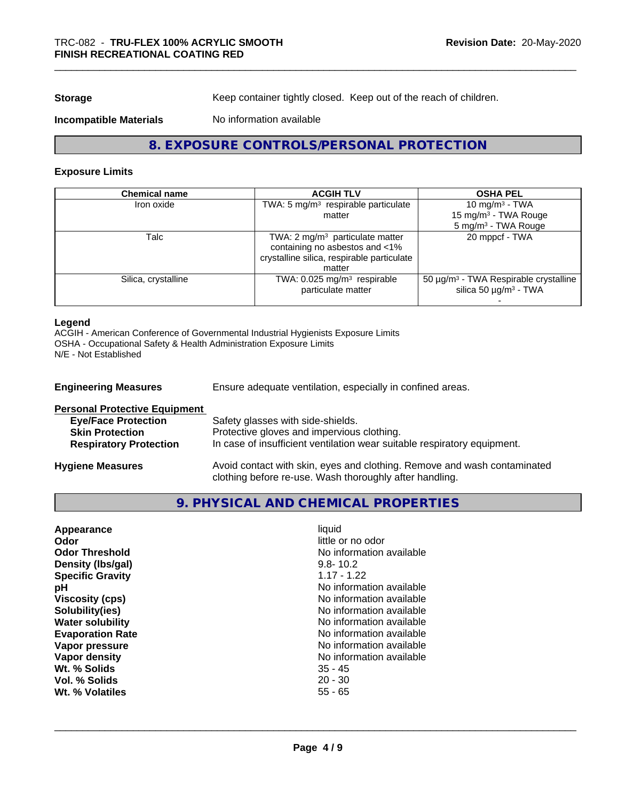**Storage** Keep container tightly closed. Keep out of the reach of children.

#### **Incompatible Materials** No information available

# **8. EXPOSURE CONTROLS/PERSONAL PROTECTION**

#### **Exposure Limits**

#### **Legend**

ACGIH - American Conference of Governmental Industrial Hygienists Exposure Limits OSHA - Occupational Safety & Health Administration Exposure Limits N/E - Not Established

| <b>Engineering Measures</b>          | Ensure adequate ventilation, especially in confined areas.                                                                          |  |
|--------------------------------------|-------------------------------------------------------------------------------------------------------------------------------------|--|
| <b>Personal Protective Equipment</b> |                                                                                                                                     |  |
| <b>Eye/Face Protection</b>           | Safety glasses with side-shields.                                                                                                   |  |
| <b>Skin Protection</b>               | Protective gloves and impervious clothing.                                                                                          |  |
| <b>Respiratory Protection</b>        | In case of insufficient ventilation wear suitable respiratory equipment.                                                            |  |
| <b>Hygiene Measures</b>              | Avoid contact with skin, eyes and clothing. Remove and wash contaminated<br>clothing before re-use. Wash thoroughly after handling. |  |

#### **9. PHYSICAL AND CHEMICAL PROPERTIES**

| Appearance<br>Odor<br><b>Odor Threshold</b><br>Density (Ibs/gal)<br><b>Specific Gravity</b><br>рH<br><b>Viscosity (cps)</b><br>Solubility(ies)<br><b>Water solubility</b><br><b>Evaporation Rate</b><br>Vapor pressure<br>Vapor density<br>Wt. % Solids<br>Vol. % Solids | liquid<br>little or no odor<br>No information available<br>$9.8 - 10.2$<br>$1.17 - 1.22$<br>No information available<br>No information available<br>No information available<br>No information available<br>No information available<br>No information available<br>No information available<br>$35 - 45$<br>$20 - 30$ |  |
|--------------------------------------------------------------------------------------------------------------------------------------------------------------------------------------------------------------------------------------------------------------------------|------------------------------------------------------------------------------------------------------------------------------------------------------------------------------------------------------------------------------------------------------------------------------------------------------------------------|--|
| Wt. % Volatiles                                                                                                                                                                                                                                                          | $55 - 65$                                                                                                                                                                                                                                                                                                              |  |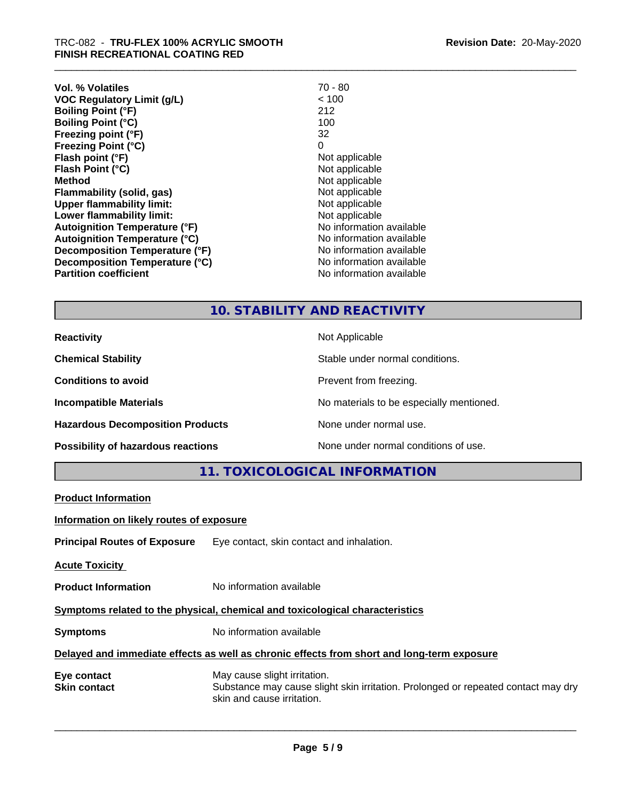| Vol. % Volatiles                     | $70 - 80$                |
|--------------------------------------|--------------------------|
| <b>VOC Regulatory Limit (g/L)</b>    | < 100                    |
| <b>Boiling Point (°F)</b>            | 212                      |
| Boiling Point (°C)                   | 100                      |
| Freezing point (°F)                  | 32                       |
| <b>Freezing Point (°C)</b>           | 0                        |
| Flash point (°F)                     | Not applicable           |
| Flash Point (°C)                     | Not applicable           |
| Method                               | Not applicable           |
| Flammability (solid, gas)            | Not applicable           |
| <b>Upper flammability limit:</b>     | Not applicable           |
| Lower flammability limit:            | Not applicable           |
| <b>Autoignition Temperature (°F)</b> | No information available |
| Autoignition Temperature (°C)        | No information available |
| Decomposition Temperature (°F)       | No information available |
| Decomposition Temperature (°C)       | No information available |
| <b>Partition coefficient</b>         | No information available |
|                                      |                          |

# **10. STABILITY AND REACTIVITY**

| <b>Reactivity</b>                       | Not Applicable                           |
|-----------------------------------------|------------------------------------------|
| <b>Chemical Stability</b>               | Stable under normal conditions.          |
| <b>Conditions to avoid</b>              | Prevent from freezing.                   |
| <b>Incompatible Materials</b>           | No materials to be especially mentioned. |
| <b>Hazardous Decomposition Products</b> | None under normal use.                   |
| Possibility of hazardous reactions      | None under normal conditions of use.     |

**11. TOXICOLOGICAL INFORMATION**

| <b>Product Information</b>                                                   |                                                                                                                                                 |  |
|------------------------------------------------------------------------------|-------------------------------------------------------------------------------------------------------------------------------------------------|--|
| Information on likely routes of exposure                                     |                                                                                                                                                 |  |
|                                                                              | <b>Principal Routes of Exposure</b> Eye contact, skin contact and inhalation.                                                                   |  |
| <b>Acute Toxicity</b>                                                        |                                                                                                                                                 |  |
| <b>Product Information</b>                                                   | No information available                                                                                                                        |  |
| Symptoms related to the physical, chemical and toxicological characteristics |                                                                                                                                                 |  |
| <b>Symptoms</b>                                                              | No information available                                                                                                                        |  |
|                                                                              | Delayed and immediate effects as well as chronic effects from short and long-term exposure                                                      |  |
| Eye contact<br><b>Skin contact</b>                                           | May cause slight irritation.<br>Substance may cause slight skin irritation. Prolonged or repeated contact may dry<br>skin and cause irritation. |  |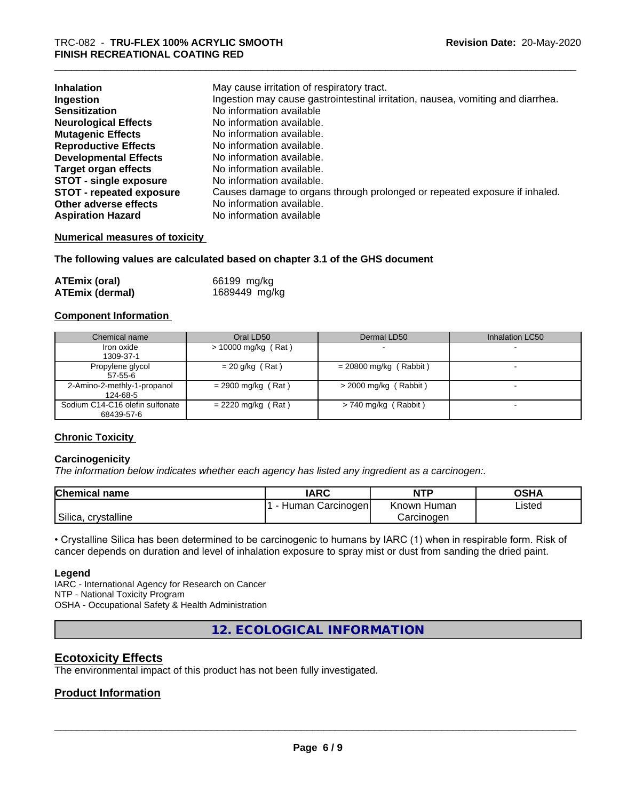| <b>Inhalation</b><br>Ingestion  | May cause irritation of respiratory tract.<br>Ingestion may cause gastrointestinal irritation, nausea, vomiting and diarrhea. |
|---------------------------------|-------------------------------------------------------------------------------------------------------------------------------|
| <b>Sensitization</b>            | No information available                                                                                                      |
| <b>Neurological Effects</b>     | No information available.                                                                                                     |
| <b>Mutagenic Effects</b>        | No information available.                                                                                                     |
| <b>Reproductive Effects</b>     | No information available.                                                                                                     |
| <b>Developmental Effects</b>    | No information available.                                                                                                     |
| <b>Target organ effects</b>     | No information available.                                                                                                     |
| <b>STOT - single exposure</b>   | No information available.                                                                                                     |
| <b>STOT - repeated exposure</b> | Causes damage to organs through prolonged or repeated exposure if inhaled.                                                    |
| Other adverse effects           | No information available.                                                                                                     |
| <b>Aspiration Hazard</b>        | No information available                                                                                                      |

#### **Numerical measures of toxicity**

#### **The following values are calculated based on chapter 3.1 of the GHS document**

| <b>ATEmix (oral)</b>   | 66199 mg/kg   |
|------------------------|---------------|
| <b>ATEmix (dermal)</b> | 1689449 mg/kg |

#### **Component Information**

| Chemical name                                 | Oral LD50            | Dermal LD50              | Inhalation LC50 |
|-----------------------------------------------|----------------------|--------------------------|-----------------|
| Iron oxide<br>1309-37-1                       | > 10000 mg/kg (Rat)  |                          |                 |
| Propylene glycol<br>$57-55-6$                 | $= 20$ g/kg (Rat)    | $= 20800$ mg/kg (Rabbit) |                 |
| 2-Amino-2-methly-1-propanol<br>124-68-5       | $= 2900$ mg/kg (Rat) | $>$ 2000 mg/kg (Rabbit)  |                 |
| Sodium C14-C16 olefin sulfonate<br>68439-57-6 | $= 2220$ mg/kg (Rat) | $> 740$ mg/kg (Rabbit)   |                 |

#### **Chronic Toxicity**

#### **Carcinogenicity**

*The information below indicateswhether each agency has listed any ingredient as a carcinogen:.*

| <b>Chemical name</b>   | <b>IARC</b>         | <b>NTP</b>     | OSHA   |
|------------------------|---------------------|----------------|--------|
|                        | Carcinogen<br>Human | Known<br>Human | Listed |
| Silica,<br>crystalline |                     | Carcinogen     |        |

• Crystalline Silica has been determined to be carcinogenic to humans by IARC (1) when in respirable form. Risk of cancer depends on duration and level of inhalation exposure to spray mist or dust from sanding the dried paint.

#### **Legend**

IARC - International Agency for Research on Cancer NTP - National Toxicity Program OSHA - Occupational Safety & Health Administration

**12. ECOLOGICAL INFORMATION**

#### **Ecotoxicity Effects**

The environmental impact of this product has not been fully investigated.

#### **Product Information**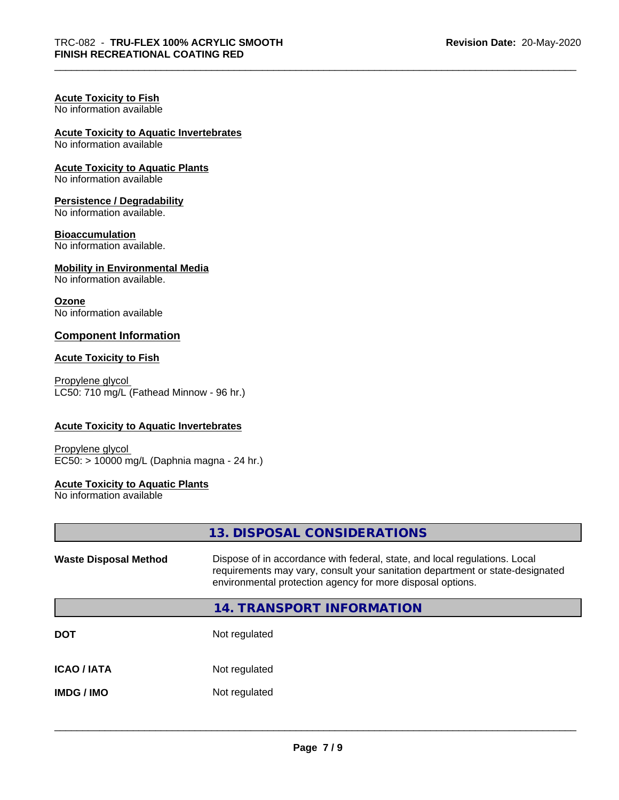# **Acute Toxicity to Fish**

No information available

# **Acute Toxicity to Aquatic Invertebrates**

No information available

#### **Acute Toxicity to Aquatic Plants**

No information available

#### **Persistence / Degradability**

No information available.

#### **Bioaccumulation**

No information available.

#### **Mobility in Environmental Media**

No information available.

#### **Ozone**

No information available

#### **Component Information**

#### **Acute Toxicity to Fish**

Propylene glycol LC50: 710 mg/L (Fathead Minnow - 96 hr.)

#### **Acute Toxicity to Aquatic Invertebrates**

Propylene glycol EC50: > 10000 mg/L (Daphnia magna - 24 hr.)

#### **Acute Toxicity to Aquatic Plants**

No information available

**13. DISPOSAL CONSIDERATIONS**

| <b>Waste Disposal Method</b> | Dispose of in accordance with federal, state, and local regulations. Local<br>requirements may vary, consult your sanitation department or state-designated<br>environmental protection agency for more disposal options. |
|------------------------------|---------------------------------------------------------------------------------------------------------------------------------------------------------------------------------------------------------------------------|
|                              | 14. TRANSPORT INFORMATION                                                                                                                                                                                                 |
| <b>DOT</b>                   | Not regulated                                                                                                                                                                                                             |
| <b>ICAO/IATA</b>             | Not regulated                                                                                                                                                                                                             |
| <b>IMDG / IMO</b>            | Not regulated                                                                                                                                                                                                             |
|                              |                                                                                                                                                                                                                           |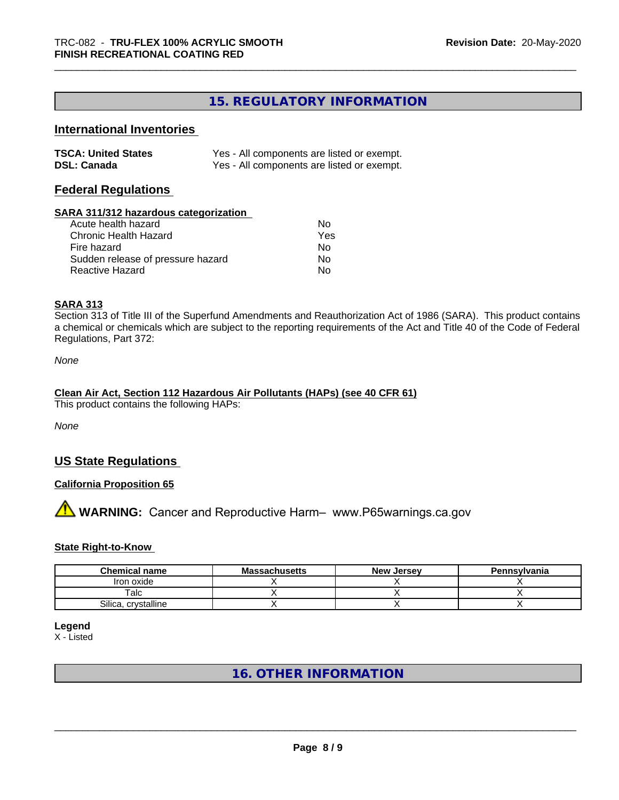# **15. REGULATORY INFORMATION**

# **International Inventories**

| <b>TSCA: United States</b> | Yes - All components are listed or exempt. |
|----------------------------|--------------------------------------------|
| <b>DSL: Canada</b>         | Yes - All components are listed or exempt. |

#### **Federal Regulations**

#### **SARA 311/312 hazardous categorization**

| Acute health hazard               | Nο  |
|-----------------------------------|-----|
| Chronic Health Hazard             | Yes |
| Fire hazard                       | N٥  |
| Sudden release of pressure hazard | Nο  |
| Reactive Hazard                   | N٥  |

#### **SARA 313**

Section 313 of Title III of the Superfund Amendments and Reauthorization Act of 1986 (SARA). This product contains a chemical or chemicals which are subject to the reporting requirements of the Act and Title 40 of the Code of Federal Regulations, Part 372:

*None*

# **Clean Air Act,Section 112 Hazardous Air Pollutants (HAPs) (see 40 CFR 61)**

This product contains the following HAPs:

*None*

### **US State Regulations**

#### **California Proposition 65**

**AVIMARNING:** Cancer and Reproductive Harm– www.P65warnings.ca.gov

#### **State Right-to-Know**

| <b>Chemical name</b>  | <b>Massachusetts</b> | <b>New Jersey</b> | Pennsylvania |
|-----------------------|----------------------|-------------------|--------------|
| Iron oxide            |                      |                   |              |
| $\tau$ alc            |                      |                   |              |
| crystalline<br>Silica |                      |                   |              |

**Legend**

X - Listed

# **16. OTHER INFORMATION**